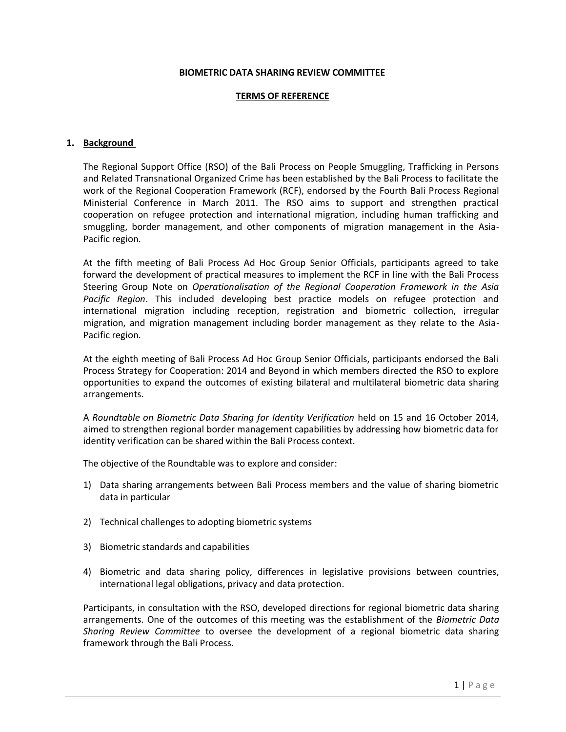#### **BIOMETRIC DATA SHARING REVIEW COMMITTEE**

#### **TERMS OF REFERENCE**

## **1. Background**

The Regional Support Office (RSO) of the Bali Process on People Smuggling, Trafficking in Persons and Related Transnational Organized Crime has been established by the Bali Process to facilitate the work of the Regional Cooperation Framework (RCF), endorsed by the Fourth Bali Process Regional Ministerial Conference in March 2011. The RSO aims to support and strengthen practical cooperation on refugee protection and international migration, including human trafficking and smuggling, border management, and other components of migration management in the Asia-Pacific region.

At the fifth meeting of Bali Process Ad Hoc Group Senior Officials, participants agreed to take forward the development of practical measures to implement the RCF in line with the Bali Process Steering Group Note on *Operationalisation of the Regional Cooperation Framework in the Asia Pacific Region*. This included developing best practice models on refugee protection and international migration including reception, registration and biometric collection, irregular migration, and migration management including border management as they relate to the Asia-Pacific region.

At the eighth meeting of Bali Process Ad Hoc Group Senior Officials, participants endorsed the Bali Process Strategy for Cooperation: 2014 and Beyond in which members directed the RSO to explore opportunities to expand the outcomes of existing bilateral and multilateral biometric data sharing arrangements.

A *Roundtable on Biometric Data Sharing for Identity Verification* held on 15 and 16 October 2014, aimed to strengthen regional border management capabilities by addressing how biometric data for identity verification can be shared within the Bali Process context.

The objective of the Roundtable was to explore and consider:

- 1) Data sharing arrangements between Bali Process members and the value of sharing biometric data in particular
- 2) Technical challenges to adopting biometric systems
- 3) Biometric standards and capabilities
- 4) Biometric and data sharing policy, differences in legislative provisions between countries, international legal obligations, privacy and data protection.

Participants, in consultation with the RSO, developed directions for regional biometric data sharing arrangements. One of the outcomes of this meeting was the establishment of the *Biometric Data Sharing Review Committee* to oversee the development of a regional biometric data sharing framework through the Bali Process*.*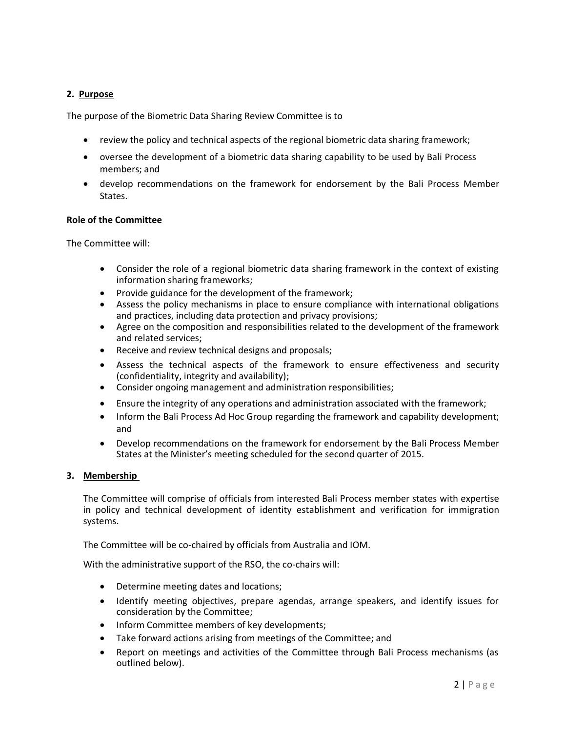# **2. Purpose**

The purpose of the Biometric Data Sharing Review Committee is to

- review the policy and technical aspects of the regional biometric data sharing framework;
- oversee the development of a biometric data sharing capability to be used by Bali Process members; and
- develop recommendations on the framework for endorsement by the Bali Process Member States.

## **Role of the Committee**

The Committee will:

- Consider the role of a regional biometric data sharing framework in the context of existing information sharing frameworks;
- Provide guidance for the development of the framework;
- Assess the policy mechanisms in place to ensure compliance with international obligations and practices, including data protection and privacy provisions;
- Agree on the composition and responsibilities related to the development of the framework and related services;
- Receive and review technical designs and proposals;
- Assess the technical aspects of the framework to ensure effectiveness and security (confidentiality, integrity and availability);
- Consider ongoing management and administration responsibilities;
- Ensure the integrity of any operations and administration associated with the framework;
- Inform the Bali Process Ad Hoc Group regarding the framework and capability development; and
- Develop recommendations on the framework for endorsement by the Bali Process Member States at the Minister's meeting scheduled for the second quarter of 2015.

## **3. Membership**

The Committee will comprise of officials from interested Bali Process member states with expertise in policy and technical development of identity establishment and verification for immigration systems.

The Committee will be co-chaired by officials from Australia and IOM.

With the administrative support of the RSO, the co-chairs will:

- Determine meeting dates and locations;
- Identify meeting objectives, prepare agendas, arrange speakers, and identify issues for consideration by the Committee;
- Inform Committee members of key developments;
- Take forward actions arising from meetings of the Committee; and
- Report on meetings and activities of the Committee through Bali Process mechanisms (as outlined below).